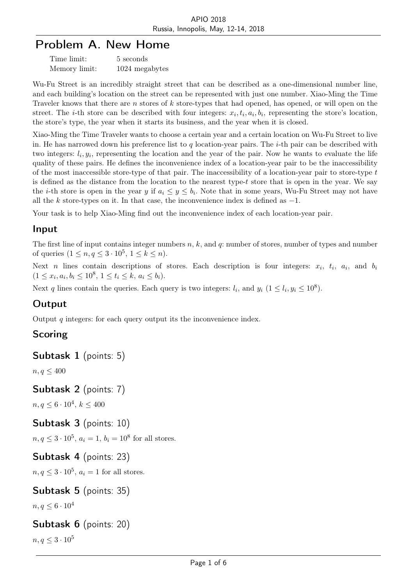# Problem A. New Home

| Time limit:   | 5 seconds      |
|---------------|----------------|
| Memory limit: | 1024 megabytes |

Wu-Fu Street is an incredibly straight street that can be described as a one-dimensional number line, and each building's location on the street can be represented with just one number. Xiao-Ming the Time Traveler knows that there are *n* stores of *k* store-types that had opened, has opened, or will open on the street. The *i*-th store can be described with four integers:  $x_i, t_i, a_i, b_i$ , representing the store's location, the store's type, the year when it starts its business, and the year when it is closed.

Xiao-Ming the Time Traveler wants to choose a certain year and a certain location on Wu-Fu Street to live in. He has narrowed down his preference list to *q* location-year pairs. The *i*-th pair can be described with two integers:  $l_i, y_i$ , representing the location and the year of the pair. Now he wants to evaluate the life quality of these pairs. He defines the inconvenience index of a location-year pair to be the inaccessibility of the most inaccessible store-type of that pair. The inaccessibility of a location-year pair to store-type *t* is defined as the distance from the location to the nearest type-*t* store that is open in the year. We say the *i*-th store is open in the year *y* if  $a_i \leq y \leq b_i$ . Note that in some years, Wu-Fu Street may not have all the *k* store-types on it. In that case, the inconvenience index is defined as *−*1.

Your task is to help Xiao-Ming find out the inconvenience index of each location-year pair.

#### Input

The first line of input contains integer numbers *n*, *k*, and *q*: number of stores, number of types and number of queries  $(1 \le n, q \le 3 \cdot 10^5, 1 \le k \le n)$ .

Next *n* lines contain descriptions of stores. Each description is four integers:  $x_i$ ,  $t_i$ ,  $a_i$ , and  $b_i$  $(1 \leq x_i, a_i, b_i \leq 10^8, 1 \leq t_i \leq k, a_i \leq b_i).$ 

Next *q* lines contain the queries. Each query is two integers:  $l_i$ , and  $y_i$  ( $1 \leq l_i, y_i \leq 10^8$ ).

## **Output**

Output *q* integers: for each query output its the inconvenience index.

## Scoring

Subtask 1 (points: 5)

 $n, q \leq 400$ 

#### Subtask 2 (points: 7)

 $n, q \leq 6 \cdot 10^4, k \leq 400$ 

Subtask 3 (points: 10)

 $n, q \leq 3 \cdot 10^5$ ,  $a_i = 1$ ,  $b_i = 10^8$  for all stores.

#### Subtask 4 (points: 23)

 $n, q \leq 3 \cdot 10^5$ ,  $a_i = 1$  for all stores.

#### Subtask 5 (points: 35)

*n, q*  $\leq 6 \cdot 10^4$ 

#### Subtask 6 (points: 20)

*n, q*  $\leq 3 \cdot 10^5$